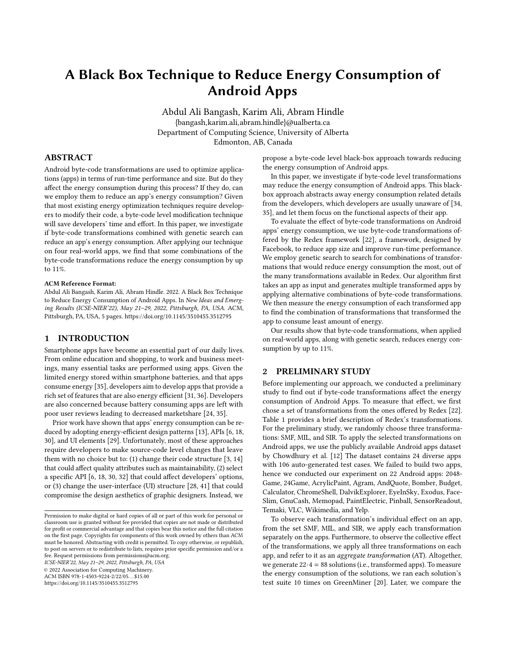# <span id="page-0-0"></span>A Black Box Technique to Reduce Energy Consumption of Android Apps

Abdul Ali Bangash, Karim Ali, Abram Hindle {bangash,karim.ali,abram.hindle}@ualberta.ca Department of Computing Science, University of Alberta Edmonton, AB, Canada

## ABSTRACT

Android byte-code transformations are used to optimize applications (apps) in terms of run-time performance and size. But do they affect the energy consumption during this process? If they do, can we employ them to reduce an app's energy consumption? Given that most existing energy optimization techniques require developers to modify their code, a byte-code level modification technique will save developers' time and effort. In this paper, we investigate if byte-code transformations combined with genetic search can reduce an app's energy consumption. After applying our technique on four real-world apps, we find that some combinations of the byte-code transformations reduce the energy consumption by up to 11%.

#### ACM Reference Format:

Abdul Ali Bangash, Karim Ali, Abram Hindle. 2022. A Black Box Technique to Reduce Energy Consumption of Android Apps. In New Ideas and Emerging Results (ICSE-NIER'22), May 21–29, 2022, Pittsburgh, PA, USA. ACM, Pittsburgh, PA, USA, [5](#page-4-0) pages.<https://doi.org/10.1145/3510455.3512795>

## 1 INTRODUCTION

Smartphone apps have become an essential part of our daily lives. From online education and shopping, to work and business meetings, many essential tasks are performed using apps. Given the limited energy stored within smartphone batteries, and that apps consume energy [\[35\]](#page-4-1), developers aim to develop apps that provide a rich set of features that are also energy efficient [\[31,](#page-4-2) [36\]](#page-4-3). Developers are also concerned because battery consuming apps are left with poor user reviews leading to decreased marketshare [\[24,](#page-4-4) [35\]](#page-4-1).

Prior work have shown that apps' energy consumption can be reduced by adopting energy-efficient design patterns [\[13\]](#page-4-5), APIs [\[6,](#page-4-6) [18,](#page-4-7) [30\]](#page-4-8), and UI elements [\[29\]](#page-4-9). Unfortunately, most of these approaches require developers to make source-code level changes that leave them with no choice but to: (1) change their code structure [\[3,](#page-4-10) [14\]](#page-4-11) that could affect quality attributes such as maintainability, (2) select a specific API [\[6,](#page-4-6) [18,](#page-4-7) [30,](#page-4-8) [32\]](#page-4-12) that could affect developers' options, or (3) change the user-interface (UI) structure [\[28,](#page-4-13) [41\]](#page-4-14) that could compromise the design aesthetics of graphic designers. Instead, we

ICSE-NIER'22, May 21–29, 2022, Pittsburgh, PA, USA

© 2022 Association for Computing Machinery.

ACM ISBN 978-1-4503-9224-2/22/05. . . \$15.00

<https://doi.org/10.1145/3510455.3512795>

propose a byte-code level black-box approach towards reducing the energy consumption of Android apps.

In this paper, we investigate if byte-code level transformations may reduce the energy consumption of Android apps. This blackbox approach abstracts away energy consumption related details from the developers, which developers are usually unaware of [\[34,](#page-4-15) [35\]](#page-4-1), and let them focus on the functional aspects of their app.

To evaluate the effect of byte-code transformations on Android apps' energy consumption, we use byte-code transformations offered by the Redex framework [\[22\]](#page-4-16), a framework, designed by Facebook, to reduce app size and improve run-time performance. We employ genetic search to search for combinations of transformations that would reduce energy consumption the most, out of the many transformations available in Redex. Our algorithm first takes an app as input and generates multiple transformed apps by applying alternative combinations of byte-code transformations. We then measure the energy consumption of each transformed app to find the combination of transformations that transformed the app to consume least amount of energy.

Our results show that byte-code transformations, when applied on real-world apps, along with genetic search, reduces energy consumption by up to 11%.

## 2 PRELIMINARY STUDY

Before implementing our approach, we conducted a preliminary study to find out if byte-code transformations affect the energy consumption of Android Apps. To measure that effect, we first chose a set of transformations from the ones offered by Redex [\[22\]](#page-4-16). Table [1](#page-1-0) provides a brief description of Redex's transformations. For the preliminary study, we randomly choose three transformations: SMF, MIL, and SIR. To apply the selected transformations on Android apps, we use the publicly available Android apps dataset by Chowdhury et al. [\[12\]](#page-4-17) The dataset contains 24 diverse apps with 106 auto-generated test cases. We failed to build two apps, hence we conducted our experiment on 22 Android apps: 2048- Game, 24Game, AcrylicPaint, Agram, AndQuote, Bomber, Budget, Calculator, ChromeShell, DalvikExplorer, EyeInSky, Exodus, Face-Slim, GnuCash, Memopad, PaintElectric, Pinball, SensorReadout, Temaki, VLC, Wikimedia, and Yelp.

To observe each transformation's individual effect on an app, from the set SMF, MIL, and SIR, we apply each transformation separately on the apps. Furthermore, to observe the collective effect of the transformations, we apply all three transformations on each app, and refer to it as an aggregate transformation (AT). Altogether, we generate 22·4 = 88 solutions (i.e., transformed apps). To measure the energy consumption of the solutions, we ran each solution's test suite 10 times on GreenMiner [\[20\]](#page-4-18). Later, we compare the

Permission to make digital or hard copies of all or part of this work for personal or classroom use is granted without fee provided that copies are not made or distributed for profit or commercial advantage and that copies bear this notice and the full citation on the first page. Copyrights for components of this work owned by others than ACM must be honored. Abstracting with credit is permitted. To copy otherwise, or republish, to post on servers or to redistribute to lists, requires prior specific permission and/or a fee. Request permissions from permissions@acm.org.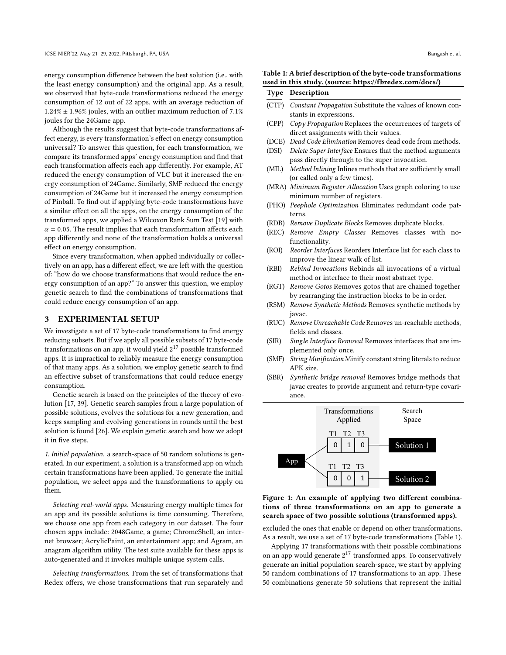energy consumption difference between the best solution (i.e., with the least energy consumption) and the original app. As a result, we observed that byte-code transformations reduced the energy consumption of 12 out of 22 apps, with an average reduction of  $1.24\% \pm 1.96\%$  joules, with an outlier maximum reduction of 7.1% joules for the 24Game app.

Although the results suggest that byte-code transformations affect energy, is every transformation's effect on energy consumption universal? To answer this question, for each transformation, we compare its transformed apps' energy consumption and find that each transformation affects each app differently. For example, AT reduced the energy consumption of VLC but it increased the energy consumption of 24Game. Similarly, SMF reduced the energy consumption of 24Game but it increased the energy consumption of Pinball. To find out if applying byte-code transformations have a similar effect on all the apps, on the energy consumption of the transformed apps, we applied a Wilcoxon Rank Sum Test [\[19\]](#page-4-19) with  $\alpha$  = 0.05. The result implies that each transformation affects each app differently and none of the transformation holds a universal effect on energy consumption.

Since every transformation, when applied individually or collectively on an app, has a different effect, we are left with the question of: "how do we choose transformations that would reduce the energy consumption of an app?" To answer this question, we employ genetic search to find the combinations of transformations that could reduce energy consumption of an app.

## 3 EXPERIMENTAL SETUP

We investigate a set of 17 byte-code transformations to find energy reducing subsets. But if we apply all possible subsets of 17 byte-code transformations on an app, it would yield  $2^{17}$  possible transformed apps. It is impractical to reliably measure the energy consumption of that many apps. As a solution, we employ genetic search to find an effective subset of transformations that could reduce energy consumption.

Genetic search is based on the principles of the theory of evolution [\[17,](#page-4-20) [39\]](#page-4-21). Genetic search samples from a large population of possible solutions, evolves the solutions for a new generation, and keeps sampling and evolving generations in rounds until the best solution is found [\[26\]](#page-4-22). We explain genetic search and how we adopt it in five steps.

1. Initial population. a search-space of 50 random solutions is generated. In our experiment, a solution is a transformed app on which certain transformations have been applied. To generate the initial population, we select apps and the transformations to apply on them.

Selecting real-world apps. Measuring energy multiple times for an app and its possible solutions is time consuming. Therefore, we choose one app from each category in our dataset. The four chosen apps include: 2048Game, a game; ChromeShell, an internet browser; AcrylicPaint, an entertainment app; and Agram, an anagram algorithm utility. The test suite available for these apps is auto-generated and it invokes multiple unique system calls.

Selecting transformations. From the set of transformations that Redex offers, we chose transformations that run separately and

#### <span id="page-1-0"></span>Table 1: A brief description of the byte-code transformations used in this study. (source: https://fbredex.com/docs/)

|       | <b>Type Description</b>                                               |
|-------|-----------------------------------------------------------------------|
|       | (CTP) <i>Constant Propagation</i> Substitute the values of known con- |
|       | stants in expressions.                                                |
| (CPP) | Copy Propagation Replaces the occurrences of targets of               |
|       | direct assignments with their values.                                 |
|       | $(DCF)$ Dead Cade Flinty stine Democra dead and cham mathede          |

- (DCE) Dead Code Elimination Removes dead code from methods. (DSI) Delete Super Interface Ensures that the method arguments
- pass directly through to the super invocation.
- (MIL) Method Inlining Inlines methods that are sufficiently small (or called only a few times).
- (MRA) Minimum Register Allocation Uses graph coloring to use minimum number of registers.
- (PHO) Peephole Optimization Eliminates redundant code patterns.
- (RDB) Remove Duplicate Blocks Removes duplicate blocks.
- (REC) Remove Empty Classes Removes classes with nofunctionality.
- (ROI) Reorder Interfaces Reorders Interface list for each class to improve the linear walk of list.
- (RBI) Rebind Invocations Rebinds all invocations of a virtual method or interface to their most abstract type.
- (RGT) Remove Gotos Removes gotos that are chained together by rearranging the instruction blocks to be in order.
- (RSM) Remove Synthetic Methods Removes synthetic methods by javac.
- (RUC) Remove Unreachable Code Removes un-reachable methods, fields and classes.
- (SIR) Single Interface Removal Removes interfaces that are implemented only once.
- (SMF) String Minification Minify constant string literals to reduce APK size.
- (SBR) Synthetic bridge removal Removes bridge methods that javac creates to provide argument and return-type covariance.

<span id="page-1-1"></span>

## Figure 1: An example of applying two different combinations of three transformations on an app to generate a search space of two possible solutions (transformed apps).

excluded the ones that enable or depend on other transformations. As a result, we use a set of 17 byte-code transformations (Table [1\)](#page-1-0).

Applying 17 transformations with their possible combinations on an app would generate 2<sup>17</sup> transformed apps. To conservatively generate an initial population search-space, we start by applying 50 random combinations of 17 transformations to an app. These 50 combinations generate 50 solutions that represent the initial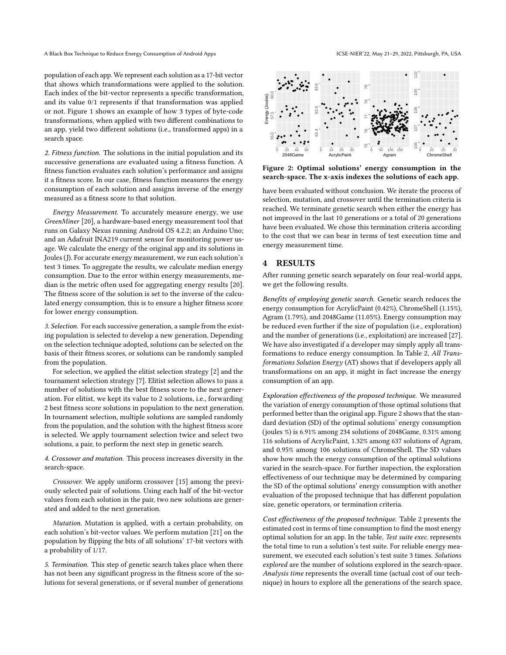A Black Box Technique to Reduce Energy Consumption of Android Apps **ICSE-NIER'22, May 21-29, 2022, Pittsburgh**, PA, USA

population of each app. We represent each solution as a 17-bit vector that shows which transformations were applied to the solution. Each index of the bit-vector represents a specific transformation, and its value 0/1 represents if that transformation was applied or not. Figure [1](#page-1-1) shows an example of how 3 types of byte-code transformations, when applied with two different combinations to an app, yield two different solutions (i.e., transformed apps) in a search space.

2. Fitness function. The solutions in the initial population and its successive generations are evaluated using a fitness function. A fitness function evaluates each solution's performance and assigns it a fitness score. In our case, fitness function measures the energy consumption of each solution and assigns inverse of the energy measured as a fitness score to that solution.

Energy Measurement. To accurately measure energy, we use GreenMiner [\[20\]](#page-4-18), a hardware-based energy measurement tool that runs on Galaxy Nexus running Android OS 4.2.2; an Arduino Uno; and an Adafruit INA219 current sensor for monitoring power usage. We calculate the energy of the original app and its solutions in Joules (J). For accurate energy measurement, we run each solution's test 3 times. To aggregate the results, we calculate median energy consumption. Due to the error within energy measurements, median is the metric often used for aggregating energy results [\[20\]](#page-4-18). The fitness score of the solution is set to the inverse of the calculated energy consumption, this is to ensure a higher fitness score for lower energy consumption.

3. Selection. For each successive generation, a sample from the existing population is selected to develop a new generation. Depending on the selection technique adopted, solutions can be selected on the basis of their fitness scores, or solutions can be randomly sampled from the population.

For selection, we applied the elitist selection strategy [\[2\]](#page-4-23) and the tournament selection strategy [\[7\]](#page-4-24). Elitist selection allows to pass a number of solutions with the best fitness score to the next generation. For elitist, we kept its value to 2 solutions, i.e., forwarding 2 best fitness score solutions in population to the next generation. In tournament selection, multiple solutions are sampled randomly from the population, and the solution with the highest fitness score is selected. We apply tournament selection twice and select two solutions, a pair, to perform the next step in genetic search.

4. Crossover and mutation. This process increases diversity in the search-space.

Crossover. We apply uniform crossover [\[15\]](#page-4-25) among the previously selected pair of solutions. Using each half of the bit-vector values from each solution in the pair, two new solutions are generated and added to the next generation.

Mutation. Mutation is applied, with a certain probability, on each solution's bit-vector values. We perform mutation [\[21\]](#page-4-26) on the population by flipping the bits of all solutions' 17-bit vectors with a probability of 1/17.

5. Termination. This step of genetic search takes place when there has not been any significant progress in the fitness score of the solutions for several generations, or if several number of generations

<span id="page-2-0"></span>

Figure 2: Optimal solutions' energy consumption in the search-space. The x-axis indexes the solutions of each app.

have been evaluated without conclusion. We iterate the process of selection, mutation, and crossover until the termination criteria is reached. We terminate genetic search when either the energy has not improved in the last 10 generations or a total of 20 generations have been evaluated. We chose this termination criteria according to the cost that we can bear in terms of test execution time and energy measurement time.

## 4 RESULTS

After running genetic search separately on four real-world apps, we get the following results.

Benefits of employing genetic search. Genetic search reduces the energy consumption for AcrylicPaint (0.42%), ChromeShell (1.15%), Agram (1.79%), and 2048Game (11.05%). Energy consumption may be reduced even further if the size of population (i.e., exploration) and the number of generations (i.e., exploitation) are increased [\[27\]](#page-4-27). We have also investigated if a developer may simply apply all transformations to reduce energy consumption. In Table [2,](#page-3-0) [All Trans](#page-0-0)[formations Solution Energy](#page-0-0) [\(AT\)](#page-0-0) shows that if developers apply all transformations on an app, it might in fact increase the energy consumption of an app.

Exploration effectiveness of the proposed technique. We measured the variation of energy consumption of those optimal solutions that performed better than the original app. Figure [2](#page-2-0) shows that the [stan](#page-0-0)[dard deviation](#page-0-0) [\(SD\)](#page-0-0) of the optimal solutions' energy consumption (joules %) is 6.91% among 234 solutions of 2048Game, 0.31% among 116 solutions of AcrylicPaint, 1.32% among 637 solutions of Agram, and 0.95% among 106 solutions of ChromeShell. The [SD](#page-0-0) values show how much the energy consumption of the optimal solutions varied in the search-space. For further inspection, the exploration effectiveness of our technique may be determined by comparing the [SD](#page-0-0) of the optimal solutions' energy consumption with another evaluation of the proposed technique that has different population size, genetic operators, or termination criteria.

Cost effectiveness of the proposed technique. Table [2](#page-3-0) presents the estimated cost in terms of time consumption to find the most energy optimal solution for an app. In the table, Test suite exec. represents the total time to run a solution's test suite. For reliable energy measurement, we executed each solution's test suite 3 times. Solutions explored are the number of solutions explored in the search-space. Analysis time represents the overall time (actual cost of our technique) in hours to explore all the generations of the search space,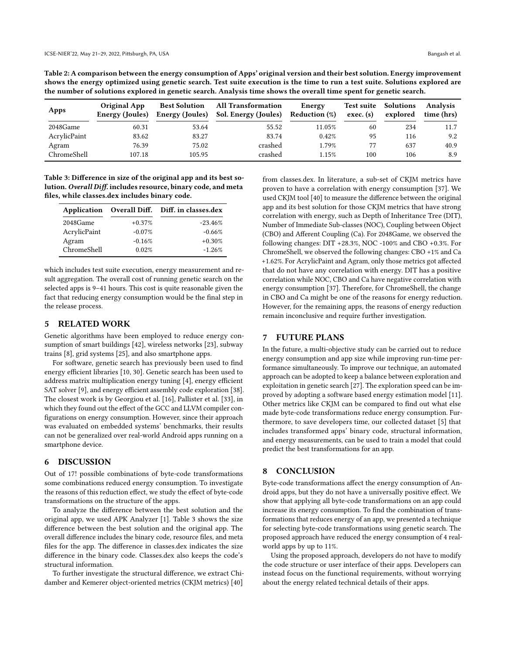<span id="page-3-0"></span>Table 2: A comparison between the energy consumption of Apps' original version and their best solution. Energy improvement shows the energy optimized using genetic search. Test suite execution is the time to run a test suite. Solutions explored are the number of solutions explored in genetic search. Analysis time shows the overall time spent for genetic search.

| Apps         | <b>Original App</b><br>Energy (Joules) | <b>Best Solution</b><br>Energy (Joules) | <b>All Transformation</b><br>Sol. Energy (Joules) | Energy<br><b>Reduction</b> (%) | Test suite<br>exec. (s) | Solutions<br>explored | <b>Analysis</b><br>time (hrs) |
|--------------|----------------------------------------|-----------------------------------------|---------------------------------------------------|--------------------------------|-------------------------|-----------------------|-------------------------------|
| 2048Game     | 60.31                                  | 53.64                                   | 55.52                                             | 11.05%                         | 60                      | 234                   | 11.7                          |
| AcrylicPaint | 83.62                                  | 83.27                                   | 83.74                                             | 0.42%                          | 95                      | 116                   | 9.2                           |
| Agram        | 76.39                                  | 75.02                                   | crashed                                           | 1.79%                          | 77                      | 637                   | 40.9                          |
| ChromeShell  | 107.18                                 | 105.95                                  | crashed                                           | 1.15%                          | 100                     | 106                   | 8.9                           |

<span id="page-3-1"></span>Table 3: Difference in size of the original app and its best solution. Overall Diff. includes resource, binary code, and meta files, while classes.dex includes binary code.

|              |          | Application Overall Diff. Diff. in classes.dex |
|--------------|----------|------------------------------------------------|
| 2048Game     | $+0.37%$ | $-23.46%$                                      |
| AcrylicPaint | $-0.07%$ | $-0.66%$                                       |
| Agram        | $-0.16%$ | $+0.30%$                                       |
| ChromeShell  | 0.02%    | $-1.26%$                                       |

which includes test suite execution, energy measurement and result aggregation. The overall cost of running genetic search on the selected apps is 9–41 hours. This cost is quite reasonable given the fact that reducing energy consumption would be the final step in the release process.

## 5 RELATED WORK

Genetic algorithms have been employed to reduce energy consumption of smart buildings [\[42\]](#page-4-28), wireless networks [\[23\]](#page-4-29), subway trains [\[8\]](#page-4-30), grid systems [\[25\]](#page-4-31), and also smartphone apps.

For software, genetic search has previously been used to find energy efficient libraries [\[10,](#page-4-32) [30\]](#page-4-8). Genetic search has been used to address matrix multiplication energy tuning [\[4\]](#page-4-33), energy efficient SAT solver [\[9\]](#page-4-34), and energy efficient assembly code exploration [\[38\]](#page-4-35). The closest work is by Georgiou et al. [\[16\]](#page-4-36), Pallister et al. [\[33\]](#page-4-37), in which they found out the effect of the GCC and LLVM compiler configurations on energy consumption. However, since their approach was evaluated on embedded systems' benchmarks, their results can not be generalized over real-world Android apps running on a smartphone device.

#### 6 DISCUSSION

Out of 17! possible combinations of byte-code transformations some combinations reduced energy consumption. To investigate the reasons of this reduction effect, we study the effect of byte-code transformations on the structure of the apps.

To analyze the difference between the best solution and the original app, we used APK Analyzer [\[1\]](#page-4-38). Table [3](#page-3-1) shows the size difference between the best solution and the original app. The overall difference includes the binary code, resource files, and meta files for the app. The difference in classes.dex indicates the size difference in the binary code. Classes.dex also keeps the code's structural information.

To further investigate the structural difference, we extract [Chi](#page-0-0)[damber and Kemerer object-oriented metrics](#page-0-0) [\(CKJM metrics\)](#page-0-0) [\[40\]](#page-4-39)

from classes.dex. In literature, a sub-set of [CKJM metrics](#page-0-0) have proven to have a correlation with energy consumption [\[37\]](#page-4-40). We used CKJM tool [\[40\]](#page-4-39) to measure the difference between the original app and its best solution for those [CKJM metrics](#page-0-0) that have strong correlation with energy, such as [Depth of Inheritance Tree](#page-0-0) [\(DIT\)](#page-0-0), [Number of Immediate Sub-classes](#page-0-0) [\(NOC\)](#page-0-0), [Coupling between Object](#page-0-0) [\(CBO\)](#page-0-0) and [Afferent Coupling](#page-0-0) [\(Ca\)](#page-0-0). For 2048Game, we observed the following changes: [DIT](#page-0-0) +28.3%, [NOC](#page-0-0) -100% and [CBO](#page-0-0) +0.3%. For ChromeShell, we observed the following changes: [CBO](#page-0-0) +1% and [Ca](#page-0-0) +1.62%. For AcrylicPaint and Agram, only those metrics got affected that do not have any correlation with energy. [DIT](#page-0-0) has a positive correlation while [NOC, CBO](#page-0-0) and [Ca](#page-0-0) have negative correlation with energy consumption [\[37\]](#page-4-40). Therefore, for ChromeShell, the change in [CBO](#page-0-0) and [Ca](#page-0-0) might be one of the reasons for energy reduction. However, for the remaining apps, the reasons of energy reduction remain inconclusive and require further investigation.

## 7 FUTURE PLANS

In the future, a multi-objective study can be carried out to reduce energy consumption and app size while improving run-time performance simultaneously. To improve our technique, an automated approach can be adopted to keep a balance between exploration and exploitation in genetic search [\[27\]](#page-4-27). The exploration speed can be improved by adopting a software based energy estimation model [\[11\]](#page-4-41). Other metrics like CKJM can be compared to find out what else made byte-code transformations reduce energy consumption. Furthermore, to save developers time, our collected dataset [\[5\]](#page-4-42) that includes transformed apps' binary code, structural information, and energy measurements, can be used to train a model that could predict the best transformations for an app.

## 8 CONCLUSION

Byte-code transformations affect the energy consumption of Android apps, but they do not have a universally positive effect. We show that applying all byte-code transformations on an app could increase its energy consumption. To find the combination of transformations that reduces energy of an app, we presented a technique for selecting byte-code transformations using genetic search. The proposed approach have reduced the energy consumption of 4 realworld apps by up to 11%.

Using the proposed approach, developers do not have to modify the code structure or user interface of their apps. Developers can instead focus on the functional requirements, without worrying about the energy related technical details of their apps.